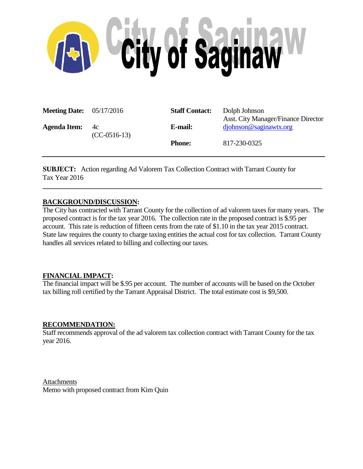

| <b>Meeting Date:</b> $05/17/2016$ |                      | <b>Staff Contact:</b> | Dolph Johnson<br><b>Asst. City Manager/Finance Director</b> |
|-----------------------------------|----------------------|-----------------------|-------------------------------------------------------------|
| <b>Agenda Item:</b>               | 4c<br>$(CC-0516-13)$ | E-mail:               | $d\text{johnson@saginawtx.org}$                             |
|                                   |                      | <b>Phone:</b>         | 817-230-0325                                                |

**SUBJECT:** Action regarding Ad Valorem Tax Collection Contract with Tarrant County for Tax Year 2016

# **BACKGROUND/DISCUSSION:**

The City has contracted with Tarrant County for the collection of ad valorem taxes for many years. The proposed contract is for the tax year 2016. The collection rate in the proposed contract is \$.95 per account. This rate is reduction of fifteen cents from the rate of \$1.10 in the tax year 2015 contract. State law requires the county to charge taxing entities the actual cost for tax collection. Tarrant County handles all services related to billing and collecting our taxes.

**\_\_\_\_\_\_\_\_\_\_\_\_\_\_\_\_\_\_\_\_\_\_\_\_\_\_\_\_\_\_\_\_\_\_\_\_\_\_\_\_\_\_\_\_\_\_\_\_\_\_\_\_\_\_\_\_\_\_\_\_\_\_\_\_\_\_\_\_\_\_\_\_\_\_\_\_\_\_\_\_\_\_**

# **FINANCIAL IMPACT:**

The financial impact will be \$.95 per account. The number of accounts will be based on the October tax billing roll certified by the Tarrant Appraisal District. The total estimate cost is \$9,500.

## **RECOMMENDATION:**

Staff recommends approval of the ad valorem tax collection contract with Tarrant County for the tax year 2016.

Attachments Memo with proposed contract from Kim Quin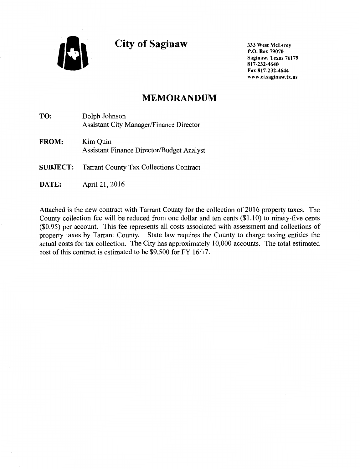**City of Saginaw** 

333 West McLeroy P.O. Box 79070 Saginaw, Texas 76179 817-232-4640 Fax 817-232-4644 www .ci.saginaw. tx.us

# **MEMORANDUM**

**TO:** Dolph Johnson Assistant City Manager/Finance Director

**FROM:** Kim Quin Assistant Finance Director/Budget Analyst

**SUBJECT:** Tarrant County Tax Collections Contract

**DATE:** April 21, 2016

Attached is the new contract with Tarrant County for the collection of 2016 property taxes. The County collection fee will be reduced from one dollar and ten cents (\$1.10) to ninety-five cents (\$0.95) per account. This fee represents all costs associated with assessment and collections of property taxes by Tarrant County. State law requires the County to charge taxing entities the actual costs for tax collection. The City has approximately 10,000 accounts. The total estimated cost of this contract is estimated to be \$9,500 for FY 16/17.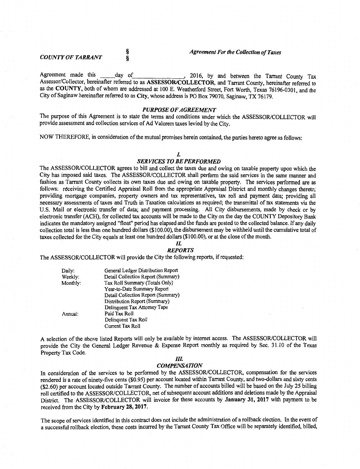§ §

Agreement made this <u>day of</u> 2016, by and between the Tarrant County Tax Assessor/Collector, hereinafter referred to as ASSESSOR/COLLECTOR, and Tarrant County, hereinafter referred to as the COUNTY, both of whom are addressed at 100 E. Weatherford Street, Fort Worth, Texas 76196-0301, and the City of Saginaw hereinafter referred to as City, whose address is PO Box 79070, Saginaw, TX 76179. '

#### *PURPOSE OF AGREEMENT*

The purpose of this Agreement is to state the terms and conditions under which the ASSESSOR/COLLECTOR will provide assessment and collection services of Ad Valorem taxes levied by the City.

NOW THEREFORE, in consideration of the mutual promises herein contained, the parties hereto agree as follows:

## *I.*

## *SERVICES TO BE PERFORMED*

The ASSESSOR/COLLECTOR agrees to bill and collect the taxes due and owing on taxable property upon which the City has imposed said taxes. The ASSESSOR/COLLECTOR shall perform the said services in the same manner and fashion as Tarrant County collects its own taxes due and owing on taxable property. The services performed are as follows: receiving the Certified Appraisal Roll from the appropriate Appraisal District and monthly changes thereto; providing mortgage companies, property owners and tax representatives, tax roll and payment data; providing all necessary assessments of taxes and Truth in Taxation calculations as required; the transmittal of tax statements via the U.S. Mail or electronic transfer of data; and payment processing. All City disbursements, made by check or by electronic transfer (ACH), for collected tax accounts will be made to the City on the day the COUNTY Depository Bank indicates the mandatory assigned "float" period has elapsed and the funds are posted to the collected balance. If any daily collection total is less than one hundred dollars (\$100.00), the disbursement may be withheld until the cumulative total of taxes collected for the City equals at least one hundred dollars (\$1 00.00), or at the close of the month.

#### II. *REPORTS*

The ASSESSOR/COLLECTOR will provide the City the following reports, if requested:

| Daily:   | General Ledger Distribution Report |  |
|----------|------------------------------------|--|
| Weekly:  | Detail Collection Report (Summary) |  |
| Monthly: | Tax Roll Summary (Totals Only)     |  |
|          | Year-to-Date Summary Report        |  |
|          | Detail Collection Report (Summary) |  |
|          | Distribution Report (Summary)      |  |
|          | Delinguent Tax Attorney Tape       |  |
| Annual:  | Paid Tax Roll                      |  |
|          | Delinquent Tax Roll                |  |
|          | Current Tax Roll                   |  |

A selection of the above listed Reports will only be available by internet access. The ASSESSOR/COLLECTOR will provide the City the General Ledger Revenue & Expense Report monthly as required by Sec. 31.10 of the Texas Property Tax Code.

## *IlL*

#### *COMPENSATION*

In consideration of the services to be performed by the ASSESSOR/COLLECTOR, compensation for the services rendered is a rate of ninety-five cents (\$0.95) per account located within Tarrant County, and two-dollars and sixty cents (\$2.60) per account located outside Tarrant County. The number of accounts billed will be based on the July 25 billing roll certified to the ASSESSOR/COLLECTOR, net of subsequent account additions and deletions made by the Appraisal District. The ASSESSOR/COLLECTOR will invoice for these accounts by January 31, 2017 with payment to be received from the City by February 28, 2017.

The scope of services identified in this contract does not include the administration of a rollback election. In the event of a successful rollback election, these costs incurred by the Tarrant County Tax Office will be separately identified, billed,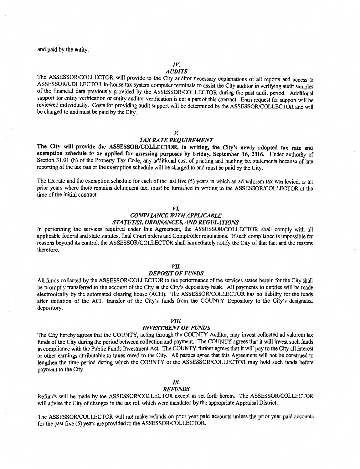and paid by the entity.

#### *IV.*

## *AUDITS*

The ASSESSOR/COLLECTOR will provide to the City auditor necessary explanations of all reports and access to ASSESSOR/COLLECTOR in-house tax system computer terminals to assist the City auditor in verifying audit samples of the fmancial data previously provided by the ASSESSOR/COLLECTOR during the past audit period. Additional support for entity verification or entity auditor verification is not a part of this contract. Each request for support will be reviewed individually. Costs for providing audit support will be determined by the ASSESSOR/COLLECTOR and will be charged to and must be paid by the City.

#### *v.*

## *TAX RATE REQUIREMENT*

The City will provide the ASSESSOR/COLLECTOR, in writing, the City's newly adopted tax rate and exemption schedule to be applied for assessing purposes by Friday, September 16, 2016. Under authority of Section 31.01 (h) of the Property Tax Code, any additional cost of printing and mailing tax statements because of late reporting of the tax rate or the exemption schedule will be charged to and must be paid by the City.

The tax rate and the exemption schedule for each of the last five (5) years in which an ad valorem tax was levied, or all prior years where there remains delinquent tax, must be furnished in writing to the ASSESSOR/COLLECTOR at the time of the initial contract.

#### *VL*

## *COMPLIANCE WITH APPLICABLE STATUTES, ORDINANCES, AND REGULATIONS*

In performing the services required under this Agreement, the ASSESSOR/COLLECTOR shall comply with all applicable federal and state statutes, final Court orders and Comptroller regulations. If such compliance is impossible for reasons beyond its control, the ASSESSOR/COLLECTOR shall immediately notify the City of that fact and the reasons therefore.

#### *VIL*

#### *DEPOSIT OF FUNDS*

All funds collected by the ASSESSOR/COLLECTOR in the performance of the services stated herein for the City shall be promptly transferred to the account of the City at the City's depository bank. All payments to entities will be made electronically by the automated clearing house (ACH). The ASSESSOR/COLLECTOR has no liability for the funds after initiation of the ACH transfer of the City's funds from the COUNTY Depository to the City's designated depository.

## *VIIL*

#### *INVESTMENT OF FUNDS*

The City hereby agrees that the COUNTY, acting through the COUNTY Auditor, may invest collected ad valorem tax funds of the City during the period between collection and payment. The COUNTY agrees that it will invest such funds in compliance with the Public Funds Investment Act. The COUNTY further agrees that it will pay to the City all interest or other earnings attributable to taxes owed to the City. All parties agree that this Agreement will not be construed to lengthen the time period during which the COUNTY or the ASSESSOR/COLLECTOR may hold such funds before payment to the City.

## *IX.*

#### *REFUNDS*

Refunds will be made by the ASSESSOR/COLLECTOR except as set forth herein. The ASSESSOR/COLLECTOR will advise the City of changes in the tax roll which were mandated by the appropriate Appraisal District.

The ASSESSOR/COLLECTOR will not make refunds on prior year paid accounts unless the prior year paid accounts for the past five (5) years are provided to the ASSESSOR/COLLECTOR.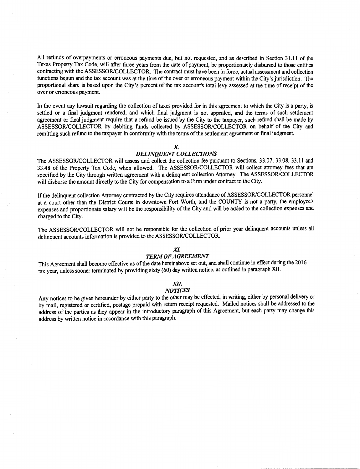All refunds of overpayments or erroneous payments due, but not requested, and as described in Section 31.11 of the Texas Property Tax Code, will after three years from the date of payment, be proportionately disbursed to those entities contracting with the ASSESSOR/COLLECTOR. The contract must have been in force, actual assessment and collection functions begun and the tax account was at the time of the over or erroneous payment within the City's jurisdiction. The proportional share is based upon the City's percent of the tax account's total levy assessed at the time of receipt of the over or erroneous payment.

In the event any lawsuit regarding the collection of taxes provided for in this agreement to which the City is a party, is settled or a fmal judgment rendered, and which final judgment is not appealed, and the terms of such settlement agreement or fmal judgment require that a refund be issued by the City to the taxpayer, such refund shall be made by ASSESSOR/COLLECTOR by debiting funds collected by ASSESSOR/COLLECTOR on behalf of the City and remitting such refund to the taxpayer in conformity with the terms of the settlement agreement or fmaljudgment.

#### *X*

## *DELINQUENT COLLECTIONS*

The ASSESSOR/COLLECTOR will assess and collect the collection fee pursuant to Sections, 33.07, 33.08, 33.11 and 33.48 of the Property Tax Code, when allowed. The ASSESSOR/COLLECTOR will collect attorney fees that are specified by the City through written agreement with a delinquent collection Attorney. The ASSESSOR/COLLECTOR will disburse the amount directly to the City for compensation to a Firm under contract to the City.

If the delinquent collection Attorney contracted by the City requires attendance of ASSESSOR/COLLECTOR personnel at a court other than the District Courts in downtown Fort Worth, and the COUNTY is not a party, the employee's expenses and proportionate salary will be the responsibility of the City and will be added to the collection expenses and charged to the City.

The ASSESSOR/COLLECTOR will not be responsible for the collection of prior year delinquent accounts unless all delinquent accounts information is provided to the ASSESSOR/COLLECTOR.

## *XI.*

#### *TERM OF AGREEMENT*

This Agreement shall become effective as of the date hereinabove set out, and shall continue in effect during the 2016 tax year, unless sooner terminated by providing sixty (60) day written notice, as outlined in paragraph XII.

#### *XII.*

## *NOTICES*

Any notices to be given hereunder by either party to the other may be effected, in writing, either by personal delivery or by mail, registered or certified, postage prepaid with return receipt requested. Mailed notices shall be addressed to the address of the parties as they appear in the introductory paragraph of this Agreement, but each party may change this address by written notice in accordance with this paragraph.